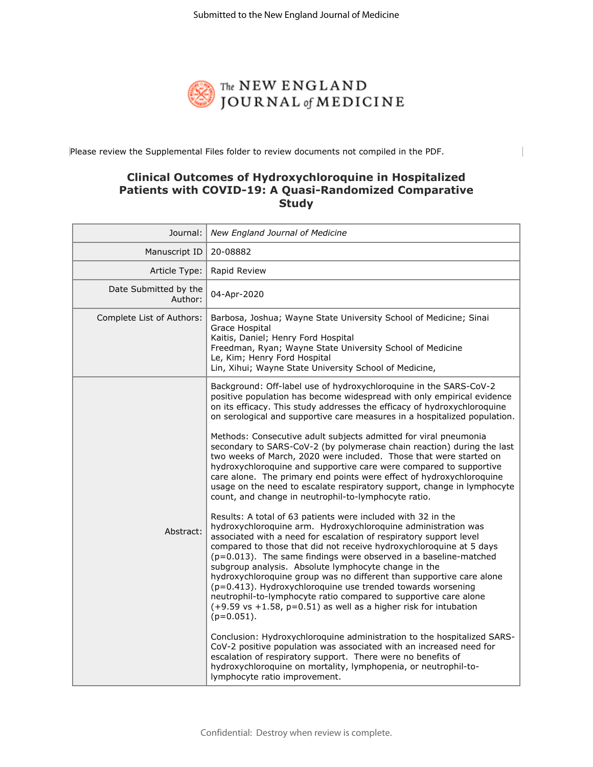

Please review the Supplemental Files folder to review documents not compiled in the PDF.

# **Clinical Outcomes of Hydroxychloroquine in Hospitalized Patients with COVID-19: A Quasi-Randomized Comparative Study**

|                                  | Chritical Outcomes of Hydroxychiologume in Hospitalized<br><b>Patients with COVID-19: A Quasi-Randomized Comparative</b><br><b>Study</b>                                                                                                                                                                                                                                                                                                                                                                                                                                                                                                                                                                                                                                                                                                                                                                                                                                                                                                                                                                                                                                                                                                                                                                                                                                                                                                                                                                                                                                                                                                                                                                                                                                                                                                                |
|----------------------------------|---------------------------------------------------------------------------------------------------------------------------------------------------------------------------------------------------------------------------------------------------------------------------------------------------------------------------------------------------------------------------------------------------------------------------------------------------------------------------------------------------------------------------------------------------------------------------------------------------------------------------------------------------------------------------------------------------------------------------------------------------------------------------------------------------------------------------------------------------------------------------------------------------------------------------------------------------------------------------------------------------------------------------------------------------------------------------------------------------------------------------------------------------------------------------------------------------------------------------------------------------------------------------------------------------------------------------------------------------------------------------------------------------------------------------------------------------------------------------------------------------------------------------------------------------------------------------------------------------------------------------------------------------------------------------------------------------------------------------------------------------------------------------------------------------------------------------------------------------------|
| Journal:                         | New England Journal of Medicine                                                                                                                                                                                                                                                                                                                                                                                                                                                                                                                                                                                                                                                                                                                                                                                                                                                                                                                                                                                                                                                                                                                                                                                                                                                                                                                                                                                                                                                                                                                                                                                                                                                                                                                                                                                                                         |
| Manuscript ID                    | 20-08882                                                                                                                                                                                                                                                                                                                                                                                                                                                                                                                                                                                                                                                                                                                                                                                                                                                                                                                                                                                                                                                                                                                                                                                                                                                                                                                                                                                                                                                                                                                                                                                                                                                                                                                                                                                                                                                |
| Article Type:                    | Rapid Review                                                                                                                                                                                                                                                                                                                                                                                                                                                                                                                                                                                                                                                                                                                                                                                                                                                                                                                                                                                                                                                                                                                                                                                                                                                                                                                                                                                                                                                                                                                                                                                                                                                                                                                                                                                                                                            |
| Date Submitted by the<br>Author: | 04-Apr-2020                                                                                                                                                                                                                                                                                                                                                                                                                                                                                                                                                                                                                                                                                                                                                                                                                                                                                                                                                                                                                                                                                                                                                                                                                                                                                                                                                                                                                                                                                                                                                                                                                                                                                                                                                                                                                                             |
| Complete List of Authors:        | Barbosa, Joshua; Wayne State University School of Medicine; Sinai<br>Grace Hospital<br>Kaitis, Daniel; Henry Ford Hospital<br>Freedman, Ryan; Wayne State University School of Medicine<br>Le, Kim; Henry Ford Hospital<br>Lin, Xihui; Wayne State University School of Medicine,                                                                                                                                                                                                                                                                                                                                                                                                                                                                                                                                                                                                                                                                                                                                                                                                                                                                                                                                                                                                                                                                                                                                                                                                                                                                                                                                                                                                                                                                                                                                                                       |
| Abstract:                        | Background: Off-label use of hydroxychloroquine in the SARS-CoV-2<br>positive population has become widespread with only empirical evidence<br>on its efficacy. This study addresses the efficacy of hydroxychloroquine<br>on serological and supportive care measures in a hospitalized population.<br>Methods: Consecutive adult subjects admitted for viral pneumonia<br>secondary to SARS-CoV-2 (by polymerase chain reaction) during the last<br>two weeks of March, 2020 were included. Those that were started on<br>hydroxychloroquine and supportive care were compared to supportive<br>care alone. The primary end points were effect of hydroxychloroquine<br>usage on the need to escalate respiratory support, change in lymphocyte<br>count, and change in neutrophil-to-lymphocyte ratio.<br>Results: A total of 63 patients were included with 32 in the<br>hydroxychloroquine arm. Hydroxychloroquine administration was<br>associated with a need for escalation of respiratory support level<br>compared to those that did not receive hydroxychloroquine at 5 days<br>$(p=0.013)$ . The same findings were observed in a baseline-matched<br>subgroup analysis. Absolute lymphocyte change in the<br>hydroxychloroquine group was no different than supportive care alone<br>(p=0.413). Hydroxychloroquine use trended towards worsening<br>neutrophil-to-lymphocyte ratio compared to supportive care alone<br>$(+9.59 \text{ vs } +1.58, p=0.51)$ as well as a higher risk for intubation<br>$(p=0.051)$ .<br>Conclusion: Hydroxychloroquine administration to the hospitalized SARS-<br>CoV-2 positive population was associated with an increased need for<br>escalation of respiratory support. There were no benefits of<br>hydroxychloroquine on mortality, lymphopenia, or neutrophil-to-<br>lymphocyte ratio improvement. |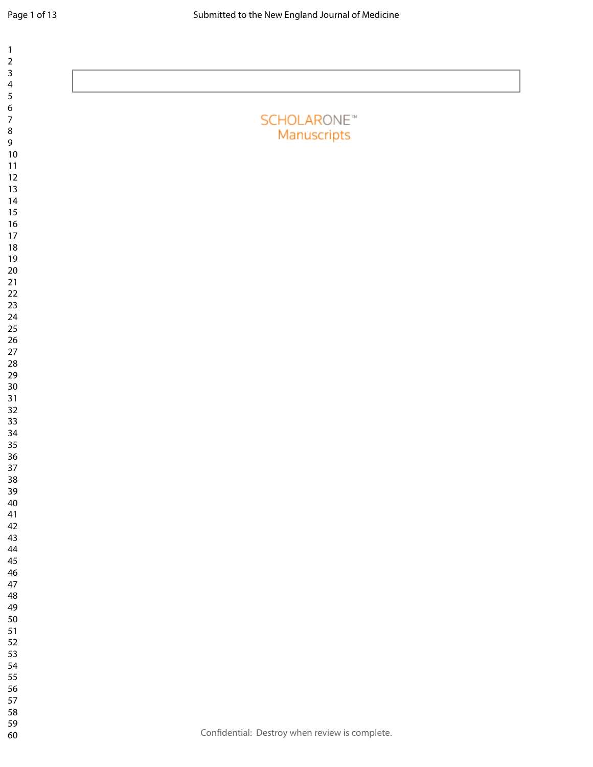| $\mathbf{1}$                           |                    |
|----------------------------------------|--------------------|
| $\boldsymbol{2}$                       |                    |
| $\mathsf 3$<br>$\overline{\mathbf{4}}$ |                    |
| $\sqrt{5}$                             |                    |
| $\boldsymbol{6}$                       |                    |
| $\boldsymbol{7}$                       | <b>SCHOLARONE™</b> |
| $\bf 8$                                | Manuscripts        |
| 9                                      |                    |
| $10$<br>$11$                           |                    |
| 12                                     |                    |
| 13                                     |                    |
| 14                                     |                    |
| 15                                     |                    |
| 16                                     |                    |
| 17                                     |                    |
| 18<br>19                               |                    |
| 20                                     |                    |
| $21$                                   |                    |
| 22                                     |                    |
| 23                                     |                    |
| 24                                     |                    |
| 25                                     |                    |
| 26<br>27                               |                    |
| 28                                     |                    |
| 29                                     |                    |
| 30                                     |                    |
| 31                                     |                    |
| 32                                     |                    |
| 33                                     |                    |
| 34<br>35                               |                    |
| 36                                     |                    |
| 37                                     |                    |
| $38\,$                                 |                    |
| 39                                     |                    |
| $40\,$                                 |                    |
| 41<br>42                               |                    |
| 43                                     |                    |
| 44                                     |                    |
| 45                                     |                    |
| 46                                     |                    |
| 47                                     |                    |
| 48                                     |                    |
| 49<br>50                               |                    |
| 51                                     |                    |
| 52                                     |                    |
| 53                                     |                    |
| 54                                     |                    |
| 55                                     |                    |
| 56<br>57                               |                    |
| 58                                     |                    |
| 59                                     |                    |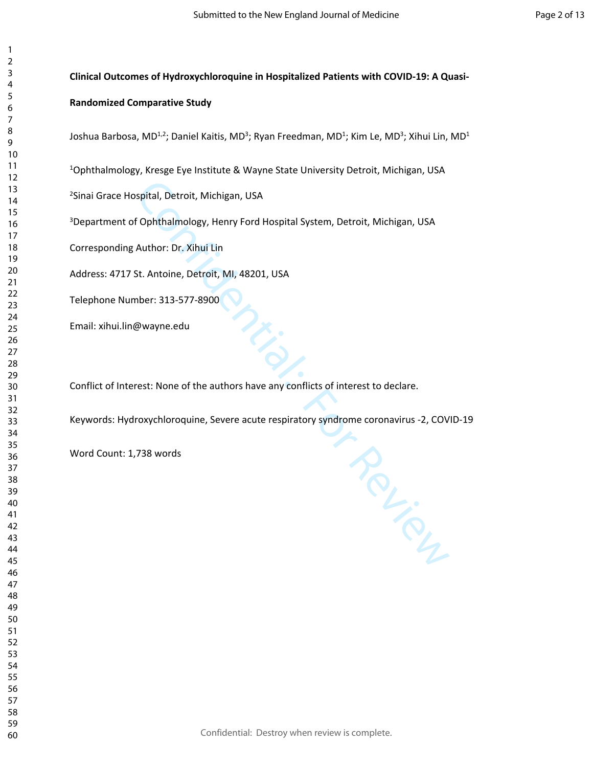### **Clinical Outcomes of Hydroxychloroquine in Hospitalized Patients with COVID-19: A Quasi-**

### **Randomized Comparative Study**

Joshua Barbosa, MD<sup>1,2</sup>; Daniel Kaitis, MD<sup>3</sup>; Ryan Freedman, MD<sup>1</sup>; Kim Le, MD<sup>3</sup>; Xihui Lin, MD<sup>1</sup>

Ophthalmology, Kresge Eye Institute & Wayne State University Detroit, Michigan, USA

Sinai Grace Hospital, Detroit, Michigan, USA

Department of Ophthalmology, Henry Ford Hospital System, Detroit, Michigan, USA

Corresponding Author: Dr. Xihui Lin

Address: 4717 St. Antoine, Detroit, MI, 48201, USA

Telephone Number: 313-577-8900

Email: xihui.lin@wayne.edu

Conflict of Interest: None of the authors have any conflicts of interest to declare.

THE STRING STRING OF INTERNATIONS OF INTERNATIONAL PROPERTY.<br>The acute respiratory syndrome coronavirus -2, COVID Keywords: Hydroxychloroquine, Severe acute respiratory syndrome coronavirus -2, COVID-19

Word Count: 1,738 words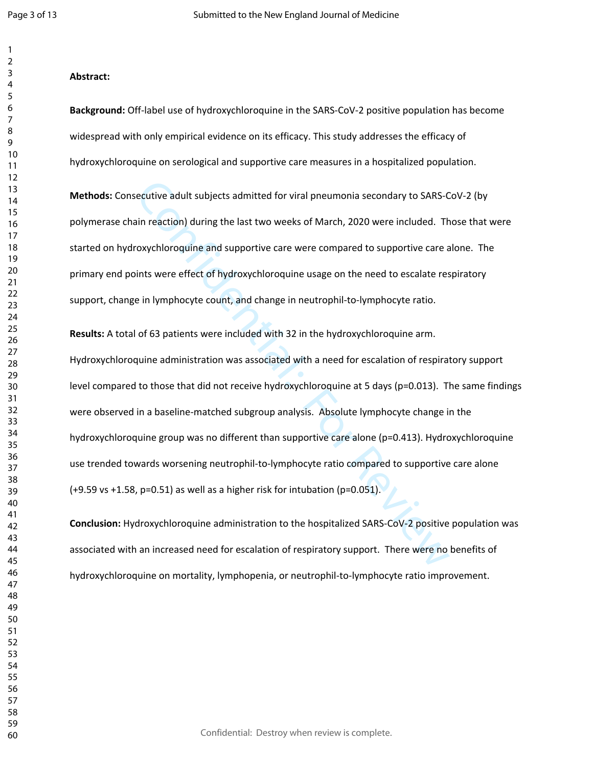### **Abstract:**

**Background:** Off-label use of hydroxychloroquine in the SARS-CoV-2 positive population has become widespread with only empirical evidence on its efficacy. This study addresses the efficacy of hydroxychloroquine on serological and supportive care measures in a hospitalized population.

**Methods:** Consecutive adult subjects admitted for viral pneumonia secondary to SARS-CoV-2 (by polymerase chain reaction) during the last two weeks of March, 2020 were included. Those that were started on hydroxychloroquine and supportive care were compared to supportive care alone. The primary end points were effect of hydroxychloroquine usage on the need to escalate respiratory support, change in lymphocyte count, and change in neutrophil-to-lymphocyte ratio.

ecutive adult subjects admitted for viral pneumonia secondary to SARS-C<br>
sin reaction) during the last two weeks of March, 2020 were included. The<br>
coxychloroquine and supportive care were compared to supportive care<br>
eint **Results:** A total of 63 patients were included with 32 in the hydroxychloroquine arm. Hydroxychloroquine administration was associated with a need for escalation of respiratory support level compared to those that did not receive hydroxychloroquine at 5 days (p=0.013). The same findings were observed in a baseline-matched subgroup analysis. Absolute lymphocyte change in the hydroxychloroquine group was no different than supportive care alone (p=0.413). Hydroxychloroquine use trended towards worsening neutrophil-to-lymphocyte ratio compared to supportive care alone (+9.59 vs +1.58, p=0.51) as well as a higher risk for intubation (p=0.051).

**Conclusion:** Hydroxychloroquine administration to the hospitalized SARS-CoV-2 positive population was associated with an increased need for escalation of respiratory support. There were no benefits of hydroxychloroquine on mortality, lymphopenia, or neutrophil-to-lymphocyte ratio improvement.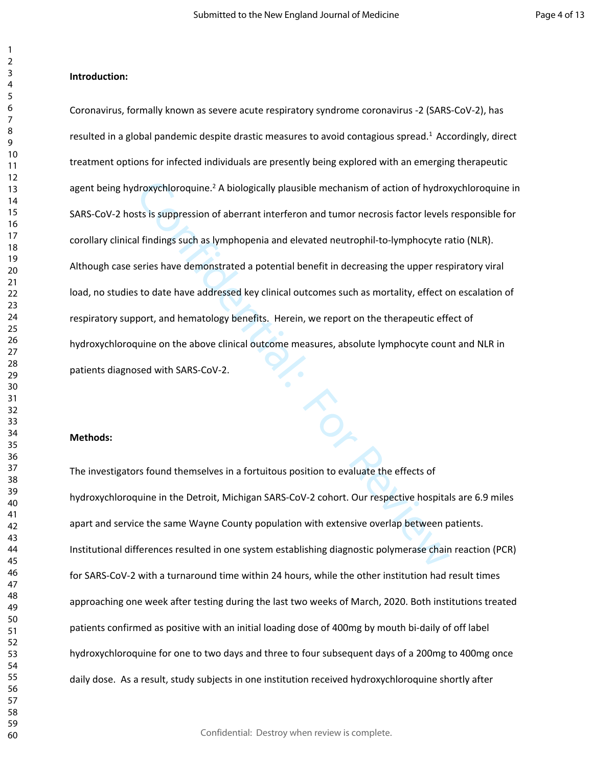#### **Introduction:**

droxychloroquine.<sup>2</sup> A biologically plausible mechanism of action of hydro<br>sts is suppression of aberrant interferon and tumor necrosis factor levels<br>al findings such as lymphopenia and elevated neutrophil-to-lymphocyte ra Coronavirus, formally known as severe acute respiratory syndrome coronavirus -2 (SARS-CoV-2), has resulted in a global pandemic despite drastic measures to avoid contagious spread.<sup>1</sup> Accordingly, direct treatment options for infected individuals are presently being explored with an emerging therapeutic agent being hydroxychloroquine.<sup>2</sup> A biologically plausible mechanism of action of hydroxychloroquine in SARS-CoV-2 hosts is suppression of aberrant interferon and tumor necrosis factor levels responsible for corollary clinical findings such as lymphopenia and elevated neutrophil-to-lymphocyte ratio (NLR). Although case series have demonstrated a potential benefit in decreasing the upper respiratory viral load, no studies to date have addressed key clinical outcomes such as mortality, effect on escalation of respiratory support, and hematology benefits. Herein, we report on the therapeutic effect of hydroxychloroquine on the above clinical outcome measures, absolute lymphocyte count and NLR in patients diagnosed with SARS-CoV-2.

### **Methods:**

The investigators found themselves in a fortuitous position to evaluate the effects of hydroxychloroquine in the Detroit, Michigan SARS-CoV-2 cohort. Our respective hospitals are 6.9 miles apart and service the same Wayne County population with extensive overlap between patients. Institutional differences resulted in one system establishing diagnostic polymerase chain reaction (PCR) for SARS-CoV-2 with a turnaround time within 24 hours, while the other institution had result times approaching one week after testing during the last two weeks of March, 2020. Both institutions treated patients confirmed as positive with an initial loading dose of 400mg by mouth bi-daily of off label hydroxychloroquine for one to two days and three to four subsequent days of a 200mg to 400mg once daily dose. As a result, study subjects in one institution received hydroxychloroquine shortly after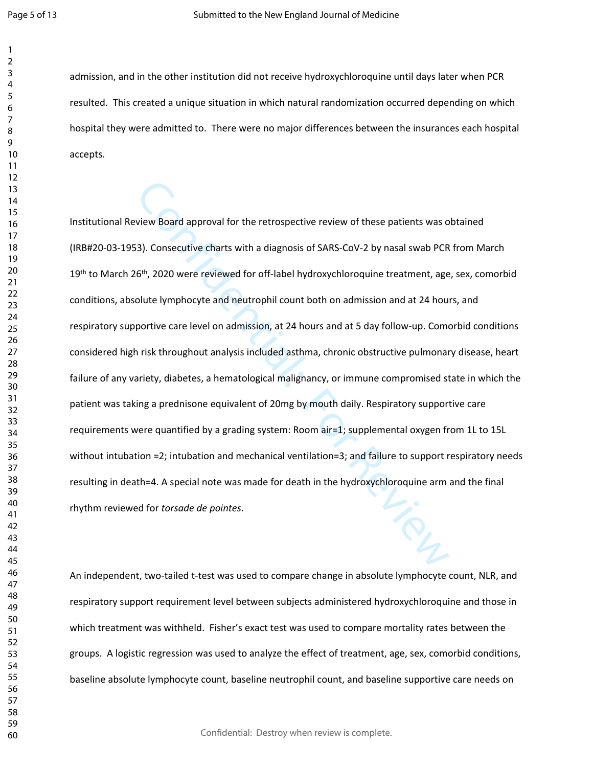admission, and in the other institution did not receive hydroxychloroquine until days later when PCR resulted. This created a unique situation in which natural randomization occurred depending on which hospital they were admitted to. There were no major differences between the insurances each hospital accepts.

view Board approval for the retrospective review of these patients was o<br>3). Consecutive charts with a diagnosis of SARS-CoV-2 by nasal swab PCR<br>6<sup>th</sup>, 2020 were reviewed for off-label hydroxychloroquine treatment, age<br>olu Institutional Review Board approval for the retrospective review of these patients was obtained (IRB#20-03-1953). Consecutive charts with a diagnosis of SARS-CoV-2 by nasal swab PCR from March 19<sup>th</sup> to March 26<sup>th</sup>, 2020 were reviewed for off-label hydroxychloroquine treatment, age, sex, comorbid conditions, absolute lymphocyte and neutrophil count both on admission and at 24 hours, and respiratory supportive care level on admission, at 24 hours and at 5 day follow-up. Comorbid conditions considered high risk throughout analysis included asthma, chronic obstructive pulmonary disease, heart failure of any variety, diabetes, a hematological malignancy, or immune compromised state in which the patient was taking a prednisone equivalent of 20mg by mouth daily. Respiratory supportive care requirements were quantified by a grading system: Room air=1; supplemental oxygen from 1L to 15L without intubation =2; intubation and mechanical ventilation=3; and failure to support respiratory needs resulting in death=4. A special note was made for death in the hydroxychloroquine arm and the final rhythm reviewed for *torsade de pointes*.

An independent, two-tailed t-test was used to compare change in absolute lymphocyte count, NLR, and respiratory support requirement level between subjects administered hydroxychloroquine and those in which treatment was withheld. Fisher's exact test was used to compare mortality rates between the groups. A logistic regression was used to analyze the effect of treatment, age, sex, comorbid conditions, baseline absolute lymphocyte count, baseline neutrophil count, and baseline supportive care needs on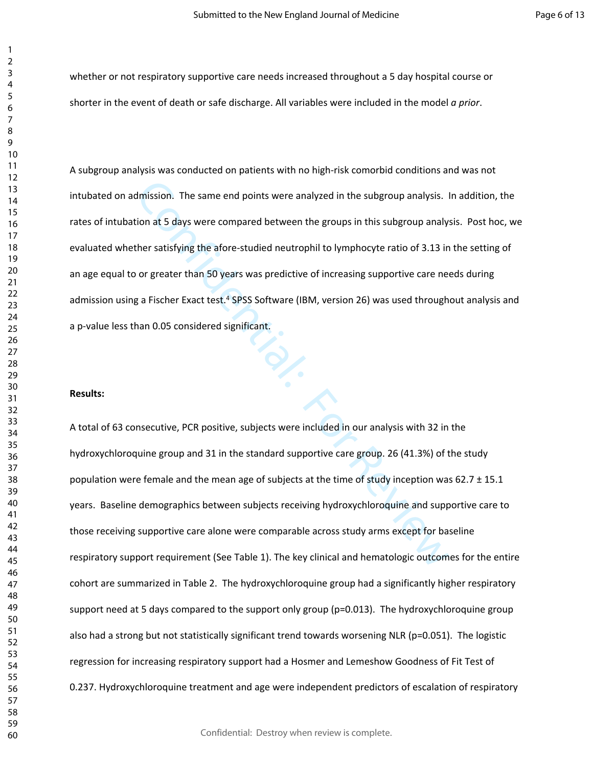whether or not respiratory supportive care needs increased throughout a 5 day hospital course or shorter in the event of death or safe discharge. All variables were included in the model *a prior*.

dmission. The same end points were analyzed in the subgroup analysis. I<br>cion at 5 days were compared between the groups in this subgroup analysinent<br>satisfying the afore-studied neutrophil to lymphocyte ratio of 3.13 in<br>or A subgroup analysis was conducted on patients with no high-risk comorbid conditions and was not intubated on admission. The same end points were analyzed in the subgroup analysis. In addition, the rates of intubation at 5 days were compared between the groups in this subgroup analysis. Post hoc, we evaluated whether satisfying the afore-studied neutrophil to lymphocyte ratio of 3.13 in the setting of an age equal to or greater than 50 years was predictive of increasing supportive care needs during admission using a Fischer Exact test.<sup>4</sup> SPSS Software (IBM, version 26) was used throughout analysis and a p-value less than 0.05 considered significant.

#### **Results:**

A total of 63 consecutive, PCR positive, subjects were included in our analysis with 32 in the hydroxychloroquine group and 31 in the standard supportive care group. 26 (41.3%) of the study population were female and the mean age of subjects at the time of study inception was 62.7 ± 15.1 years. Baseline demographics between subjects receiving hydroxychloroquine and supportive care to those receiving supportive care alone were comparable across study arms except for baseline respiratory support requirement (See Table 1). The key clinical and hematologic outcomes for the entire cohort are summarized in Table 2. The hydroxychloroquine group had a significantly higher respiratory support need at 5 days compared to the support only group (p=0.013). The hydroxychloroquine group also had a strong but not statistically significant trend towards worsening NLR (p=0.051). The logistic regression for increasing respiratory support had a Hosmer and Lemeshow Goodness of Fit Test of 0.237. Hydroxychloroquine treatment and age were independent predictors of escalation of respiratory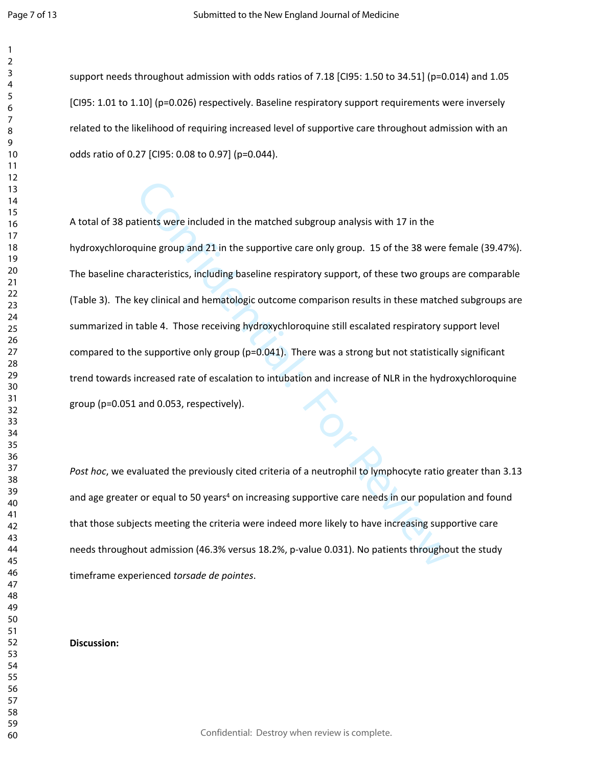support needs throughout admission with odds ratios of 7.18 [CI95: 1.50 to 34.51] (p=0.014) and 1.05 [CI95: 1.01 to 1.10] (p=0.026) respectively. Baseline respiratory support requirements were inversely related to the likelihood of requiring increased level of supportive care throughout admission with an odds ratio of 0.27 [CI95: 0.08 to 0.97] (p=0.044).

tients were included in the matched subgroup analysis with 17 in the<br>pluine group and 21 in the supportive care only group. 15 of the 38 were t<br>aracteristics, including baseline respiratory support, of these two groups<br>key A total of 38 patients were included in the matched subgroup analysis with 17 in the hydroxychloroquine group and 21 in the supportive care only group. 15 of the 38 were female (39.47%). The baseline characteristics, including baseline respiratory support, of these two groups are comparable (Table 3). The key clinical and hematologic outcome comparison results in these matched subgroups are summarized in table 4. Those receiving hydroxychloroquine still escalated respiratory support level compared to the supportive only group (p=0.041). There was a strong but not statistically significant trend towards increased rate of escalation to intubation and increase of NLR in the hydroxychloroquine group (p=0.051 and 0.053, respectively).

*Post hoc*, we evaluated the previously cited criteria of a neutrophil to lymphocyte ratio greater than 3.13 and age greater or equal to 50 years<sup>4</sup> on increasing supportive care needs in our population and found that those subjects meeting the criteria were indeed more likely to have increasing supportive care needs throughout admission (46.3% versus 18.2%, p-value 0.031). No patients throughout the study timeframe experienced *torsade de pointes*.

**Discussion:**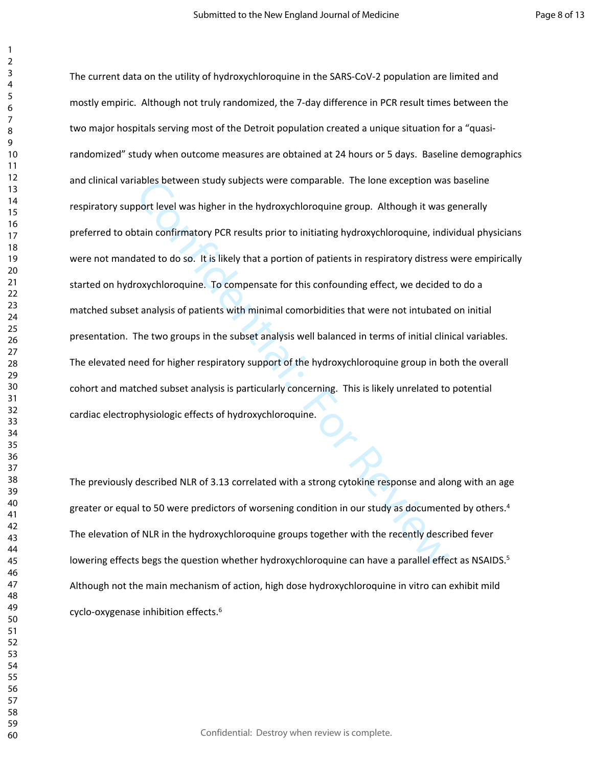ables between study subjects were comparable. The lone exception was<br>port level was higher in the hydroxychloroquine group. Although it was f<br>tain confirmatory PCR results prior to initiating hydroxychloroquine, indi<br>ated The current data on the utility of hydroxychloroquine in the SARS-CoV-2 population are limited and mostly empiric. Although not truly randomized, the 7-day difference in PCR result times between the two major hospitals serving most of the Detroit population created a unique situation for a "quasirandomized" study when outcome measures are obtained at 24 hours or 5 days. Baseline demographics and clinical variables between study subjects were comparable. The lone exception was baseline respiratory support level was higher in the hydroxychloroquine group. Although it was generally preferred to obtain confirmatory PCR results prior to initiating hydroxychloroquine, individual physicians were not mandated to do so. It is likely that a portion of patients in respiratory distress were empirically started on hydroxychloroquine. To compensate for this confounding effect, we decided to do a matched subset analysis of patients with minimal comorbidities that were not intubated on initial presentation. The two groups in the subset analysis well balanced in terms of initial clinical variables. The elevated need for higher respiratory support of the hydroxychloroquine group in both the overall cohort and matched subset analysis is particularly concerning. This is likely unrelated to potential cardiac electrophysiologic effects of hydroxychloroquine.

The previously described NLR of 3.13 correlated with a strong cytokine response and along with an age greater or equal to 50 were predictors of worsening condition in our study as documented by others.<sup>4</sup> The elevation of NLR in the hydroxychloroquine groups together with the recently described fever lowering effects begs the question whether hydroxychloroquine can have a parallel effect as NSAIDS.<sup>5</sup> Although not the main mechanism of action, high dose hydroxychloroquine in vitro can exhibit mild cyclo-oxygenase inhibition effects.<sup>6</sup>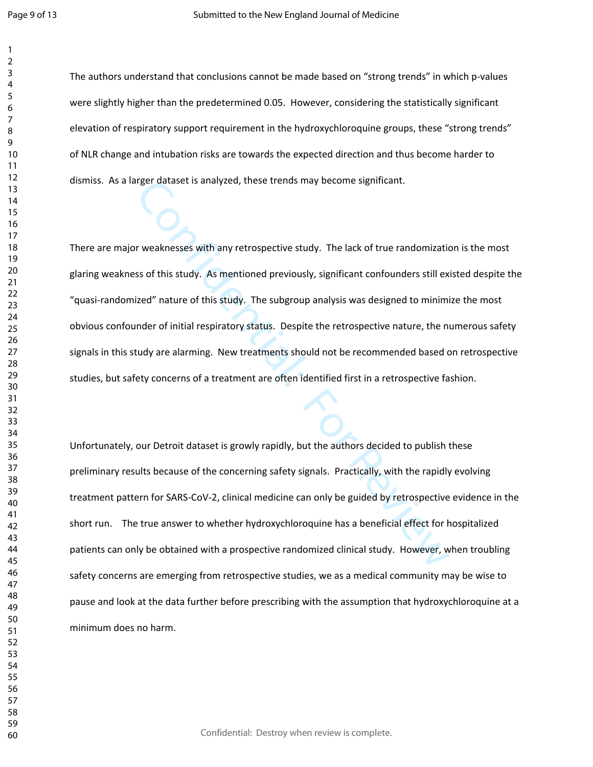The authors understand that conclusions cannot be made based on "strong trends" in which p-values were slightly higher than the predetermined 0.05. However, considering the statistically significant elevation of respiratory support requirement in the hydroxychloroquine groups, these "strong trends" of NLR change and intubation risks are towards the expected direction and thus become harder to dismiss. As a larger dataset is analyzed, these trends may become significant.

rger dataset is analyzed, these trends may become significant.<br>
In weaknesses with any retrospective study. The lack of true randomization<br>
sto of this study. As mentioned previously, significant confounders still ex<br>
ized There are major weaknesses with any retrospective study. The lack of true randomization is the most glaring weakness of this study. As mentioned previously, significant confounders still existed despite the "quasi-randomized" nature of this study. The subgroup analysis was designed to minimize the most obvious confounder of initial respiratory status. Despite the retrospective nature, the numerous safety signals in this study are alarming. New treatments should not be recommended based on retrospective studies, but safety concerns of a treatment are often identified first in a retrospective fashion.

Unfortunately, our Detroit dataset is growly rapidly, but the authors decided to publish these preliminary results because of the concerning safety signals. Practically, with the rapidly evolving treatment pattern for SARS-CoV-2, clinical medicine can only be guided by retrospective evidence in the short run. The true answer to whether hydroxychloroquine has a beneficial effect for hospitalized patients can only be obtained with a prospective randomized clinical study. However, when troubling safety concerns are emerging from retrospective studies, we as a medical community may be wise to pause and look at the data further before prescribing with the assumption that hydroxychloroquine at a minimum does no harm.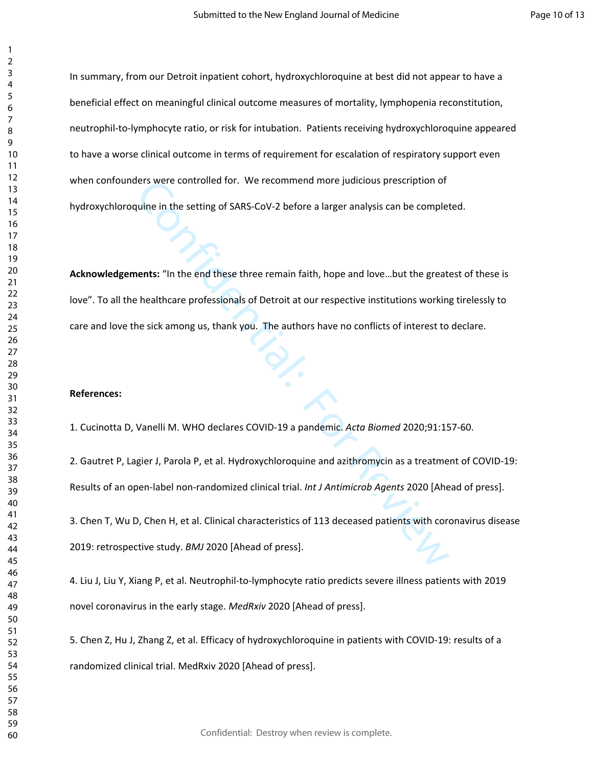In summary, from our Detroit inpatient cohort, hydroxychloroquine at best did not appear to have a beneficial effect on meaningful clinical outcome measures of mortality, lymphopenia reconstitution, neutrophil-to-lymphocyte ratio, or risk for intubation. Patients receiving hydroxychloroquine appeared to have a worse clinical outcome in terms of requirement for escalation of respiratory support even when confounders were controlled for. We recommend more judicious prescription of hydroxychloroquine in the setting of SARS-CoV-2 before a larger analysis can be completed.

re controlled for. We recommend more judicious prescription of<br>
spiritude in the setting of SARS-CoV-2 before a larger analysis can be complet<br>
nents: "In the end these three remain faith, hope and love...but the great<br>
he **Acknowledgements:** "In the end these three remain faith, hope and love…but the greatest of these is love". To all the healthcare professionals of Detroit at our respective institutions working tirelessly to care and love the sick among us, thank you. The authors have no conflicts of interest to declare.

#### **References:**

1. Cucinotta D, Vanelli M. WHO declares COVID-19 a pandemic. *Acta Biomed* 2020;91:157-60.

2. Gautret P, Lagier J, Parola P, et al. Hydroxychloroquine and azithromycin as a treatment of COVID-19: Results of an open-label non-randomized clinical trial. *Int J Antimicrob Agents* 2020 [Ahead of press].

3. Chen T, Wu D, Chen H, et al. Clinical characteristics of 113 deceased patients with coronavirus disease 2019: retrospective study. *BMJ* 2020 [Ahead of press].

4. Liu J, Liu Y, Xiang P, et al. Neutrophil-to-lymphocyte ratio predicts severe illness patients with 2019 novel coronavirus in the early stage. *MedRxiv* 2020 [Ahead of press].

5. Chen Z, Hu J, Zhang Z, et al. Efficacy of hydroxychloroquine in patients with COVID-19: results of a randomized clinical trial. MedRxiv 2020 [Ahead of press].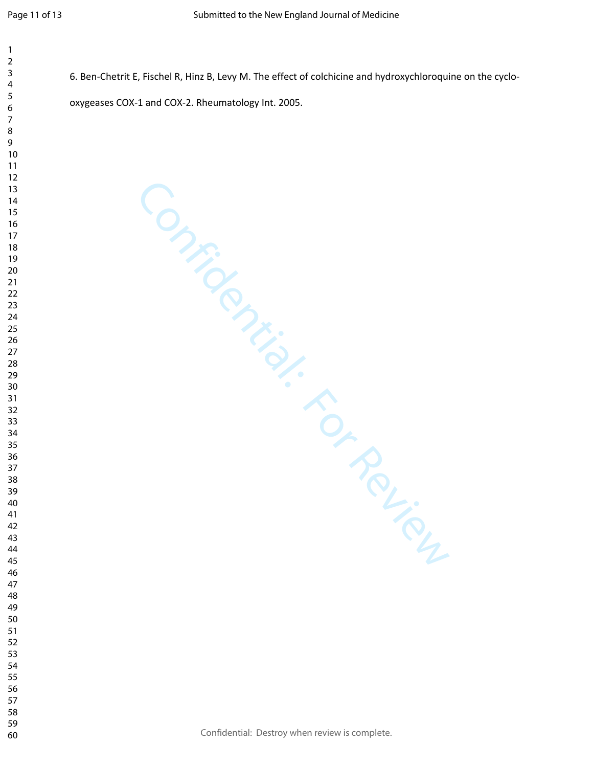oxygeases COX-1 and COX-2. Rheumatology Int. 2005.

Confidential: For Review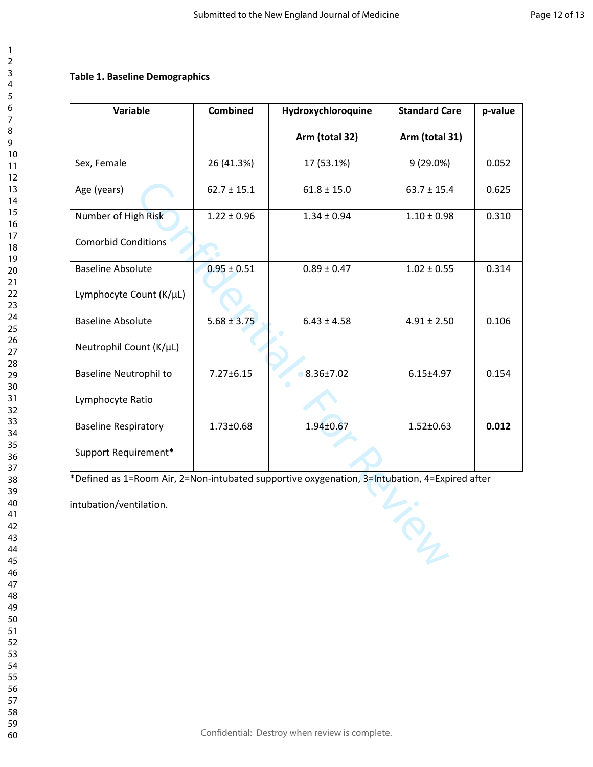## **Table 1. Baseline Demographics**

| Variable                                                                                      | <b>Combined</b> | Hydroxychloroquine | <b>Standard Care</b> | p-value |
|-----------------------------------------------------------------------------------------------|-----------------|--------------------|----------------------|---------|
|                                                                                               |                 | Arm (total 32)     | Arm (total 31)       |         |
| Sex, Female                                                                                   | 26 (41.3%)      | 17 (53.1%)         | 9(29.0%)             | 0.052   |
| Age (years)                                                                                   | $62.7 \pm 15.1$ | $61.8 \pm 15.0$    | $63.7 \pm 15.4$      | 0.625   |
| Number of High Risk                                                                           | $1.22 \pm 0.96$ | $1.34 \pm 0.94$    | $1.10 \pm 0.98$      | 0.310   |
| <b>Comorbid Conditions</b>                                                                    |                 |                    |                      |         |
| <b>Baseline Absolute</b>                                                                      | $0.95 \pm 0.51$ | $0.89 \pm 0.47$    | $1.02 \pm 0.55$      | 0.314   |
| Lymphocyte Count (K/µL)                                                                       |                 |                    |                      |         |
| <b>Baseline Absolute</b>                                                                      | $5.68 \pm 3.75$ | $6.43 \pm 4.58$    | $4.91 \pm 2.50$      | 0.106   |
| Neutrophil Count (K/µL)                                                                       |                 |                    |                      |         |
| <b>Baseline Neutrophil to</b>                                                                 | $7.27 \pm 6.15$ | $8.36 \pm 7.02$    | $6.15 \pm 4.97$      | 0.154   |
| Lymphocyte Ratio                                                                              |                 |                    |                      |         |
| <b>Baseline Respiratory</b>                                                                   | $1.73 \pm 0.68$ | $1.94 \pm 0.67$    | $1.52 \pm 0.63$      | 0.012   |
| Support Requirement*                                                                          |                 |                    |                      |         |
| *Defined as 1=Room Air, 2=Non-intubated supportive oxygenation, 3=Intubation, 4=Expired after |                 |                    |                      |         |
| intubation/ventilation.                                                                       |                 |                    |                      |         |
|                                                                                               |                 |                    |                      |         |
|                                                                                               |                 |                    |                      |         |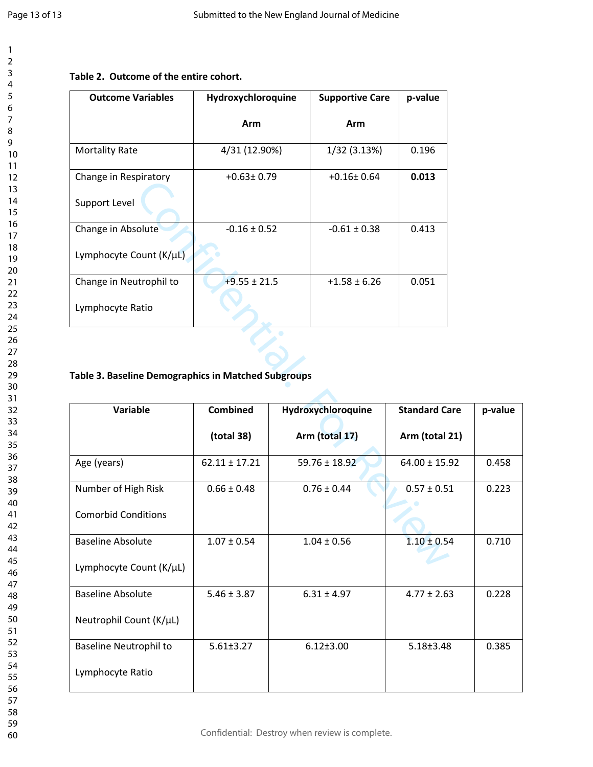## **Table 2. Outcome of the entire cohort.**

| <b>Outcome Variables</b>               | Hydroxychloroquine | <b>Supportive Care</b> | p-value |
|----------------------------------------|--------------------|------------------------|---------|
|                                        | Arm                | Arm                    |         |
| <b>Mortality Rate</b>                  | 4/31 (12.90%)      | 1/32 (3.13%)           | 0.196   |
| Change in Respiratory<br>Support Level | $+0.63 \pm 0.79$   | $+0.16 \pm 0.64$       | 0.013   |
| Change in Absolute                     | $-0.16 \pm 0.52$   | $-0.61 \pm 0.38$       | 0.413   |
| Lymphocyte Count (K/µL)                |                    |                        |         |
| Change in Neutrophil to                | $+9.55 \pm 21.5$   | $+1.58 \pm 6.26$       | 0.051   |
| Lymphocyte Ratio                       |                    |                        |         |

## **Table 3. Baseline Demographics in Matched Subgroups**

| Change in Respiratory                               | 0.03-0.75         | +ט.⊥ט⊥ ∪.ט+        | u.ulj                |         |
|-----------------------------------------------------|-------------------|--------------------|----------------------|---------|
| Support Level                                       |                   |                    |                      |         |
|                                                     |                   |                    |                      |         |
| Change in Absolute                                  | $-0.16 \pm 0.52$  | $-0.61 \pm 0.38$   | 0.413                |         |
| Lymphocyte Count (K/µL)                             |                   |                    |                      |         |
|                                                     |                   |                    |                      |         |
| Change in Neutrophil to                             | $+9.55 \pm 21.5$  | $+1.58 \pm 6.26$   | 0.051                |         |
| Lymphocyte Ratio                                    |                   |                    |                      |         |
|                                                     |                   |                    |                      |         |
|                                                     |                   |                    |                      |         |
|                                                     |                   |                    |                      |         |
| Table 3. Baseline Demographics in Matched Subgroups |                   |                    |                      |         |
|                                                     |                   |                    |                      |         |
| Variable                                            | <b>Combined</b>   | Hydroxychloroquine | <b>Standard Care</b> | p-value |
|                                                     | (total 38)        | Arm (total 17)     | Arm (total 21)       |         |
| Age (years)                                         | $62.11 \pm 17.21$ | $59.76 \pm 18.92$  | $64.00 \pm 15.92$    | 0.458   |
| Number of High Risk                                 | $0.66 \pm 0.48$   | $0.76 \pm 0.44$    | $0.57 \pm 0.51$      | 0.223   |
| <b>Comorbid Conditions</b>                          |                   |                    |                      |         |
|                                                     |                   |                    |                      |         |
| <b>Baseline Absolute</b>                            | $1.07 \pm 0.54$   | $1.04 \pm 0.56$    | $1.10 \pm 0.54$      | 0.710   |
| Lymphocyte Count (K/µL)                             |                   |                    |                      |         |
|                                                     |                   |                    |                      |         |
| <b>Baseline Absolute</b>                            | $5.46 \pm 3.87$   | $6.31 \pm 4.97$    | $4.77 \pm 2.63$      | 0.228   |
| Neutrophil Count (K/µL)                             |                   |                    |                      |         |
|                                                     |                   |                    |                      |         |
| <b>Baseline Neutrophil to</b>                       | $5.61 \pm 3.27$   | $6.12 \pm 3.00$    | $5.18 \pm 3.48$      | 0.385   |
| Lymphocyte Ratio                                    |                   |                    |                      |         |
|                                                     |                   |                    |                      |         |